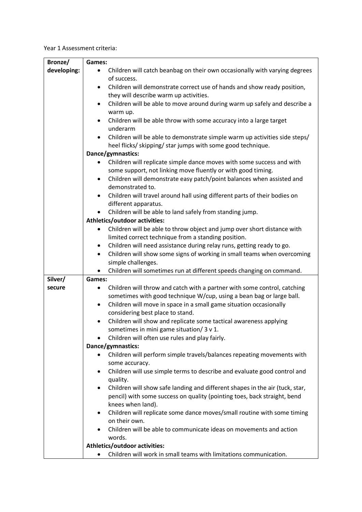Year 1 Assessment criteria:

| Bronze/     | Games:                                                                                                  |
|-------------|---------------------------------------------------------------------------------------------------------|
| developing: | Children will catch beanbag on their own occasionally with varying degrees                              |
|             | of success.                                                                                             |
|             | Children will demonstrate correct use of hands and show ready position,<br>٠                            |
|             | they will describe warm up activities.                                                                  |
|             | Children will be able to move around during warm up safely and describe a<br>$\bullet$                  |
|             | warm up.                                                                                                |
|             | Children will be able throw with some accuracy into a large target<br>٠<br>underarm                     |
|             | Children will be able to demonstrate simple warm up activities side steps/<br>$\bullet$                 |
|             | heel flicks/ skipping/ star jumps with some good technique.                                             |
|             | Dance/gymnastics:                                                                                       |
|             | Children will replicate simple dance moves with some success and with                                   |
|             | some support, not linking move fluently or with good timing.                                            |
|             | Children will demonstrate easy patch/point balances when assisted and<br>$\bullet$                      |
|             | demonstrated to.                                                                                        |
|             | Children will travel around hall using different parts of their bodies on<br>$\bullet$                  |
|             | different apparatus.                                                                                    |
|             | Children will be able to land safely from standing jump.                                                |
|             | Athletics/outdoor activities:                                                                           |
|             | Children will be able to throw object and jump over short distance with<br>٠                            |
|             | limited correct technique from a standing position.                                                     |
|             | Children will need assistance during relay runs, getting ready to go.<br>٠                              |
|             | Children will show some signs of working in small teams when overcoming<br>$\bullet$                    |
|             | simple challenges.                                                                                      |
|             | Children will sometimes run at different speeds changing on command.<br>$\bullet$                       |
| Silver/     | Games:                                                                                                  |
| secure      | Children will throw and catch with a partner with some control, catching<br>٠                           |
|             | sometimes with good technique W/cup, using a bean bag or large ball.                                    |
|             | Children will move in space in a small game situation occasionally<br>$\bullet$                         |
|             | considering best place to stand.                                                                        |
|             | Children will show and replicate some tactical awareness applying<br>٠                                  |
|             | sometimes in mini game situation/ 3 v 1.                                                                |
|             | Children will often use rules and play fairly.                                                          |
|             | Dance/gymnastics:                                                                                       |
|             | Children will perform simple travels/balances repeating movements with                                  |
|             | some accuracy.<br>Children will use simple terms to describe and evaluate good control and<br>$\bullet$ |
|             | quality.                                                                                                |
|             | Children will show safe landing and different shapes in the air (tuck, star,<br>$\bullet$               |
|             | pencil) with some success on quality (pointing toes, back straight, bend                                |
|             | knees when land).                                                                                       |
|             | Children will replicate some dance moves/small routine with some timing<br>٠                            |
|             | on their own.                                                                                           |
|             | Children will be able to communicate ideas on movements and action<br>$\bullet$                         |
|             | words.                                                                                                  |
|             | Athletics/outdoor activities:                                                                           |
|             | Children will work in small teams with limitations communication.<br>$\bullet$                          |